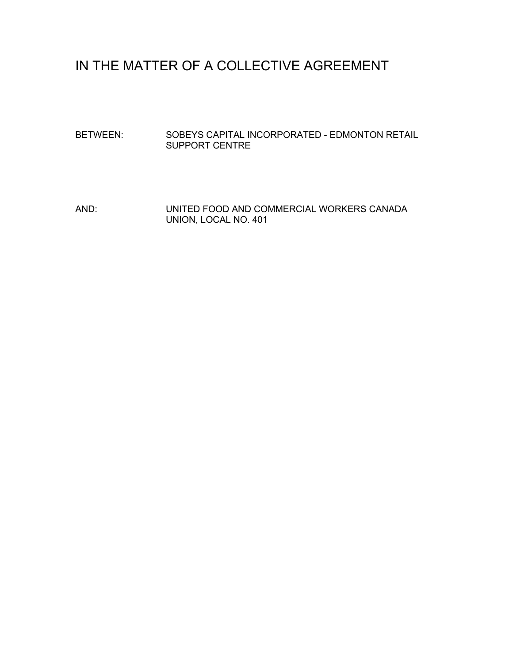## IN THE MATTER OF A COLLECTIVE AGREEMENT

BETWEEN: SOBEYS CAPITAL INCORPORATED - EDMONTON RETAIL SUPPORT CENTRE

AND: UNITED FOOD AND COMMERCIAL WORKERS CANADA UNION, LOCAL NO. 401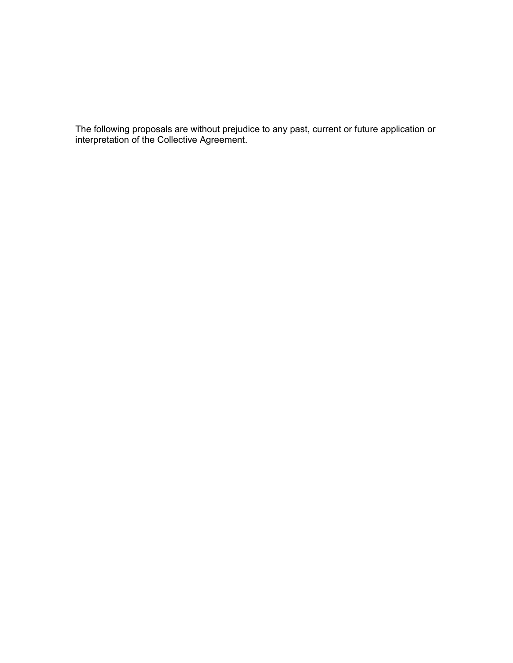The following proposals are without prejudice to any past, current or future application or interpretation of the Collective Agreement.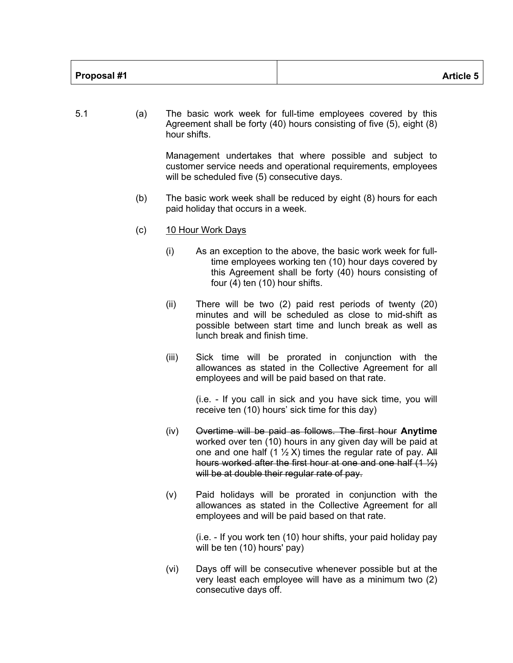| Proposal #1 | <b>Article 5</b> |
|-------------|------------------|
|-------------|------------------|

5.1 (a) The basic work week for full-time employees covered by this Agreement shall be forty (40) hours consisting of five (5), eight (8) hour shifts. Management undertakes that where possible and subject to customer service needs and operational requirements, employees will be scheduled five (5) consecutive days. (b) The basic work week shall be reduced by eight (8) hours for each paid holiday that occurs in a week. (c) 10 Hour Work Days (i) As an exception to the above, the basic work week for fulltime employees working ten (10) hour days covered by this Agreement shall be forty (40) hours consisting of four (4) ten (10) hour shifts. (ii) There will be two (2) paid rest periods of twenty (20) minutes and will be scheduled as close to mid-shift as possible between start time and lunch break as well as lunch break and finish time. (iii) Sick time will be prorated in conjunction with the allowances as stated in the Collective Agreement for all employees and will be paid based on that rate. (i.e. - If you call in sick and you have sick time, you will receive ten (10) hours' sick time for this day) (iv) Overtime will be paid as follows. The first hour **Anytime** worked over ten (10) hours in any given day will be paid at one and one half (1  $\frac{1}{2}$  X) times the regular rate of pay. All hours worked after the first hour at one and one half  $(1 <sup>1</sup>/<sub>2</sub>)$ will be at double their regular rate of pay. (v) Paid holidays will be prorated in conjunction with the allowances as stated in the Collective Agreement for all employees and will be paid based on that rate. (i.e. - If you work ten (10) hour shifts, your paid holiday pay

will be ten (10) hours' pay)

(vi) Days off will be consecutive whenever possible but at the very least each employee will have as a minimum two (2) consecutive days off.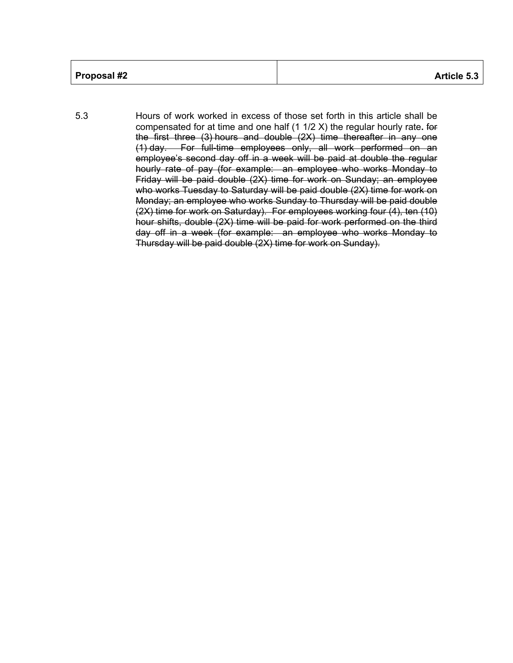| Proposal #2 | <b>Article 5.3</b> |
|-------------|--------------------|
|             |                    |

5.3 Hours of work worked in excess of those set forth in this article shall be compensated for at time and one half (1 1/2 X) the regular hourly rate**.** for the first three (3) hours and double (2X) time thereafter in any one (1) day. For full-time employees only, all work performed on an employee's second day off in a week will be paid at double the regular hourly rate of pay (for example: an employee who works Monday to Friday will be paid double (2X) time for work on Sunday; an employee who works Tuesday to Saturday will be paid double (2X) time for work on Monday; an employee who works Sunday to Thursday will be paid double (2X) time for work on Saturday). For employees working four (4), ten (10) hour shifts, double (2X) time will be paid for work performed on the third day off in a week (for example: an employee who works Monday to Thursday will be paid double (2X) time for work on Sunday).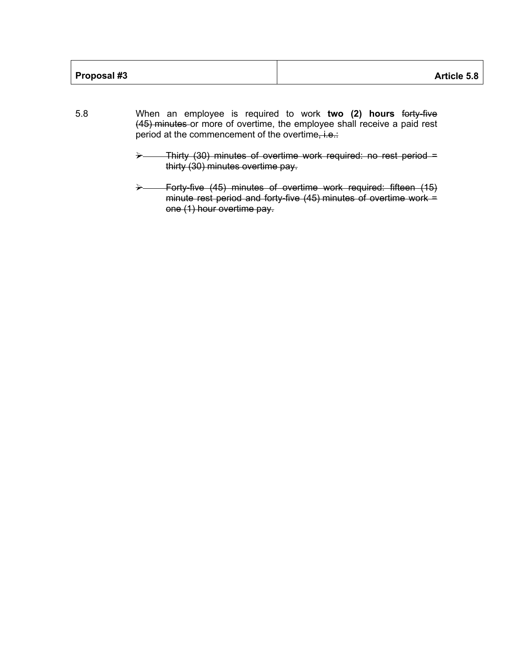- 5.8 When an employee is required to work **two (2) hours** forty-five (45) minutes or more of overtime, the employee shall receive a paid rest period at the commencement of the overtime, i.e.:
	- Ø Thirty (30) minutes of overtime work required: no rest period = thirty (30) minutes overtime pay.
	- Forty-five (45) minutes of overtime work required: fifteen (15) minute rest period and forty-five (45) minutes of overtime work = one (1) hour overtime pay.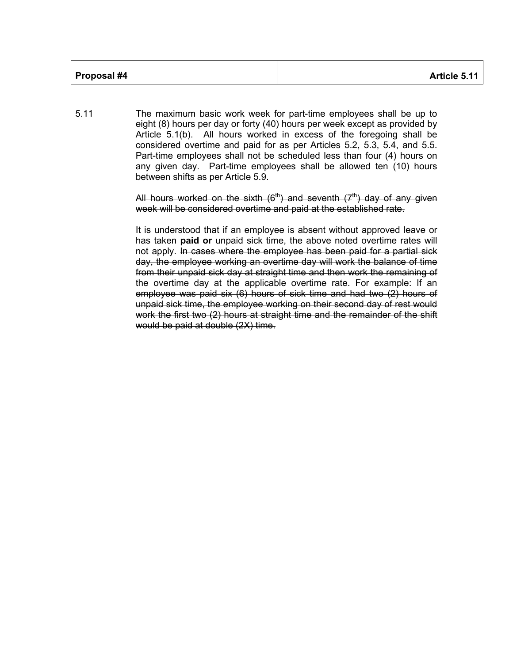| Proposal #4 | Article 5.11 |
|-------------|--------------|
|             |              |

5.11 The maximum basic work week for part-time employees shall be up to eight (8) hours per day or forty (40) hours per week except as provided by Article 5.1(b). All hours worked in excess of the foregoing shall be considered overtime and paid for as per Articles 5.2, 5.3, 5.4, and 5.5. Part-time employees shall not be scheduled less than four (4) hours on any given day. Part-time employees shall be allowed ten (10) hours between shifts as per Article 5.9.

> All hours worked on the sixth  $(6<sup>th</sup>)$  and seventh  $(7<sup>th</sup>)$  day of any given week will be considered overtime and paid at the established rate.

> It is understood that if an employee is absent without approved leave or has taken **paid or** unpaid sick time, the above noted overtime rates will not apply. In cases where the employee has been paid for a partial sick day, the employee working an overtime day will work the balance of time from their unpaid sick day at straight time and then work the remaining of the overtime day at the applicable overtime rate. For example: If an employee was paid six (6) hours of sick time and had two (2) hours of unpaid sick time, the employee working on their second day of rest would work the first two (2) hours at straight time and the remainder of the shift would be paid at double (2X) time.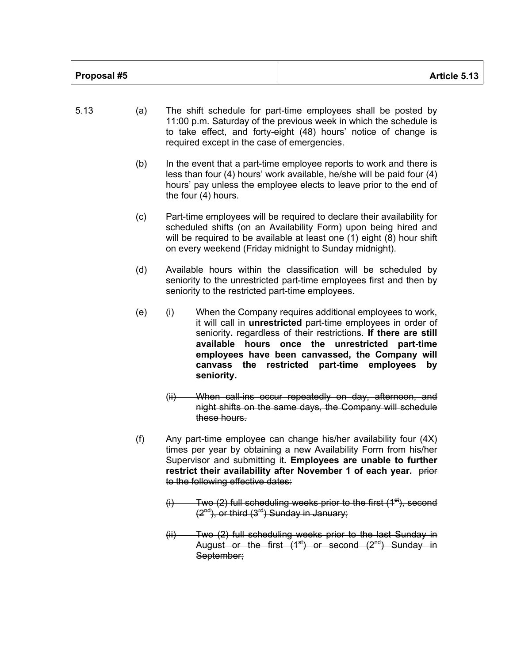| Proposal #5<br>Article 5.13 |
|-----------------------------|
|-----------------------------|

- 5.13 (a) The shift schedule for part-time employees shall be posted by 11:00 p.m. Saturday of the previous week in which the schedule is to take effect, and forty-eight (48) hours' notice of change is required except in the case of emergencies. (b) In the event that a part-time employee reports to work and there is less than four (4) hours' work available, he/she will be paid four (4) hours' pay unless the employee elects to leave prior to the end of the four (4) hours. (c) Part-time employees will be required to declare their availability for scheduled shifts (on an Availability Form) upon being hired and will be required to be available at least one (1) eight (8) hour shift on every weekend (Friday midnight to Sunday midnight). (d) Available hours within the classification will be scheduled by seniority to the unrestricted part-time employees first and then by seniority to the restricted part-time employees. (e) (i) When the Company requires additional employees to work, it will call in **unrestricted** part-time employees in order of seniority**.** regardless of their restrictions. **If there are still available hours once the unrestricted part-time employees have been canvassed, the Company will canvass the restricted part-time employees by seniority.** (ii) When call-ins occur repeatedly on day, afternoon, and night shifts on the same days, the Company will schedule these hours. (f) Any part-time employee can change his/her availability four (4X) times per year by obtaining a new Availability Form from his/her
	- Supervisor and submitting it**. Employees are unable to further**  restrict their availability after November 1 of each year. **prior** to the following effective dates:
		- $(i)$  Two (2) full scheduling weeks prior to the first  $(1<sup>st</sup>)$ , second  $(2<sup>nd</sup>)$ , or third  $(3<sup>rd</sup>)$  Sunday in January;
		- (ii) Two (2) full scheduling weeks prior to the last Sunday in August or the first  $(1^{st})$  or second  $(2^{nd})$  Sunday in September;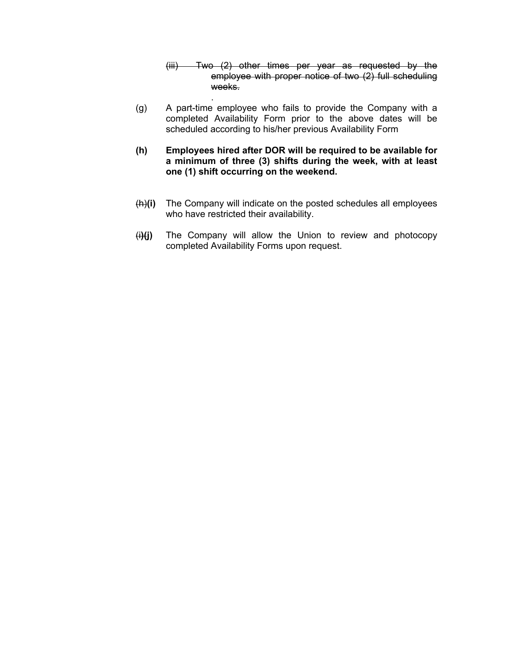- (iii) Two (2) other times per year as requested by the employee with proper notice of two (2) full scheduling weeks.
- (g) A part-time employee who fails to provide the Company with a completed Availability Form prior to the above dates will be scheduled according to his/her previous Availability Form

.

- **(h) Employees hired after DOR will be required to be available for a minimum of three (3) shifts during the week, with at least one (1) shift occurring on the weekend.**
- (h)**(i)** The Company will indicate on the posted schedules all employees who have restricted their availability.
- (i**)(j)** The Company will allow the Union to review and photocopy completed Availability Forms upon request.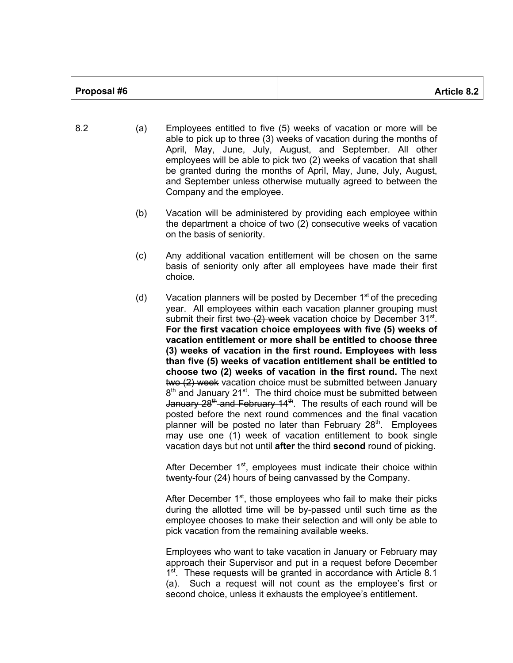| Proposal #6 | <b>Article 8.2</b> |
|-------------|--------------------|

- 8.2 (a) Employees entitled to five (5) weeks of vacation or more will be able to pick up to three (3) weeks of vacation during the months of April, May, June, July, August, and September. All other employees will be able to pick two (2) weeks of vacation that shall be granted during the months of April, May, June, July, August, and September unless otherwise mutually agreed to between the Company and the employee.
	- (b) Vacation will be administered by providing each employee within the department a choice of two (2) consecutive weeks of vacation on the basis of seniority.
	- (c) Any additional vacation entitlement will be chosen on the same basis of seniority only after all employees have made their first choice.
	- (d) Vacation planners will be posted by December  $1<sup>st</sup>$  of the preceding year. All employees within each vacation planner grouping must submit their first two  $(2)$  week vacation choice by December 31<sup>st</sup>. **For the first vacation choice employees with five (5) weeks of vacation entitlement or more shall be entitled to choose three (3) weeks of vacation in the first round. Employees with less than five (5) weeks of vacation entitlement shall be entitled to choose two (2) weeks of vacation in the first round.** The next two (2) week vacation choice must be submitted between January  $8<sup>th</sup>$  and January 21 $<sup>st</sup>$ . The third choice must be submitted between</sup> January 28<sup>th</sup> and February 14<sup>th</sup>. The results of each round will be posted before the next round commences and the final vacation planner will be posted no later than February  $28<sup>th</sup>$ . Employees may use one (1) week of vacation entitlement to book single vacation days but not until **after** the third **second** round of picking.

After December 1<sup>st</sup>, employees must indicate their choice within twenty-four (24) hours of being canvassed by the Company.

After December  $1<sup>st</sup>$ , those employees who fail to make their picks during the allotted time will be by-passed until such time as the employee chooses to make their selection and will only be able to pick vacation from the remaining available weeks.

Employees who want to take vacation in January or February may approach their Supervisor and put in a request before December 1<sup>st</sup>. These requests will be granted in accordance with Article 8.1 (a). Such a request will not count as the employee's first or second choice, unless it exhausts the employee's entitlement.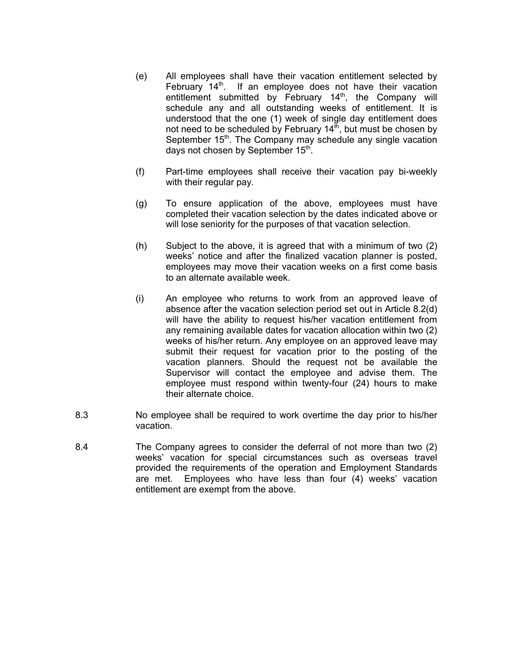- (e) All employees shall have their vacation entitlement selected by February  $14<sup>th</sup>$ . If an employee does not have their vacation entitlement submitted by February  $14<sup>th</sup>$ , the Company will schedule any and all outstanding weeks of entitlement. It is understood that the one (1) week of single day entitlement does not need to be scheduled by February  $14<sup>th</sup>$ , but must be chosen by September 15<sup>th</sup>. The Company may schedule any single vacation days not chosen by September 15<sup>th</sup>.
- (f) Part-time employees shall receive their vacation pay bi-weekly with their regular pay.
- (g) To ensure application of the above, employees must have completed their vacation selection by the dates indicated above or will lose seniority for the purposes of that vacation selection.
- (h) Subject to the above, it is agreed that with a minimum of two (2) weeks' notice and after the finalized vacation planner is posted, employees may move their vacation weeks on a first come basis to an alternate available week.
- (i) An employee who returns to work from an approved leave of absence after the vacation selection period set out in Article 8.2(d) will have the ability to request his/her vacation entitlement from any remaining available dates for vacation allocation within two (2) weeks of his/her return. Any employee on an approved leave may submit their request for vacation prior to the posting of the vacation planners. Should the request not be available the Supervisor will contact the employee and advise them. The employee must respond within twenty-four (24) hours to make their alternate choice.
- 8.3 No employee shall be required to work overtime the day prior to his/her vacation.
- 8.4 The Company agrees to consider the deferral of not more than two (2) weeks' vacation for special circumstances such as overseas travel provided the requirements of the operation and Employment Standards are met. Employees who have less than four (4) weeks' vacation entitlement are exempt from the above.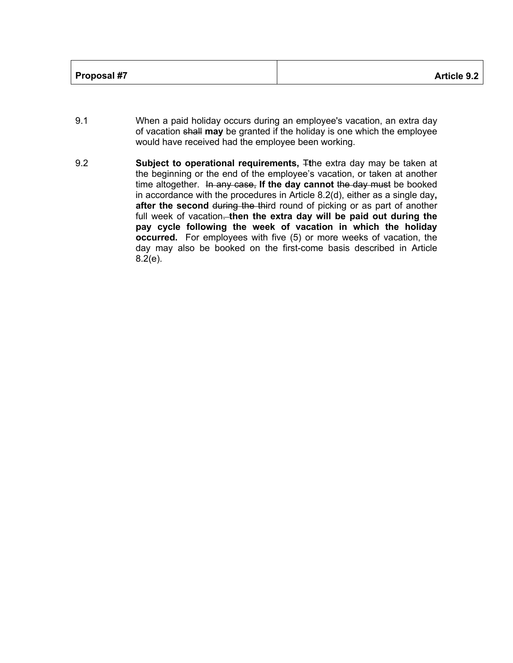| Proposal #7 | <b>Article 9.2</b> |
|-------------|--------------------|
|-------------|--------------------|

- 9.1 When a paid holiday occurs during an employee's vacation, an extra day of vacation shall **may** be granted if the holiday is one which the employee would have received had the employee been working.
- 9.2 **Subject to operational requirements,** T**t**he extra day may be taken at the beginning or the end of the employee's vacation, or taken at another time altogether. In any case, If the day cannot the day must be booked in accordance with the procedures in Article 8.2(d), either as a single day**,**  after the second during the third round of picking or as part of another full week of vacation. then the extra day will be paid out during the **pay cycle following the week of vacation in which the holiday occurred.** For employees with five (5) or more weeks of vacation, the day may also be booked on the first-come basis described in Article 8.2(e).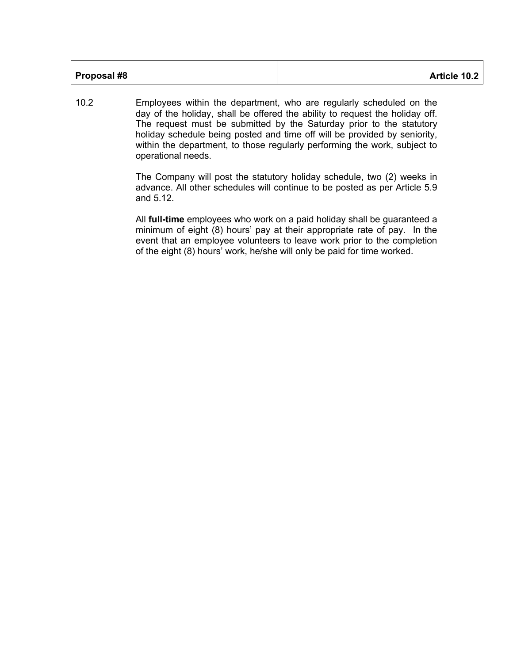10.2 Employees within the department, who are regularly scheduled on the day of the holiday, shall be offered the ability to request the holiday off. The request must be submitted by the Saturday prior to the statutory holiday schedule being posted and time off will be provided by seniority, within the department, to those regularly performing the work, subject to operational needs.

> The Company will post the statutory holiday schedule, two (2) weeks in advance. All other schedules will continue to be posted as per Article 5.9 and 5.12.

> All **full-time** employees who work on a paid holiday shall be guaranteed a minimum of eight (8) hours' pay at their appropriate rate of pay. In the event that an employee volunteers to leave work prior to the completion of the eight (8) hours' work, he/she will only be paid for time worked.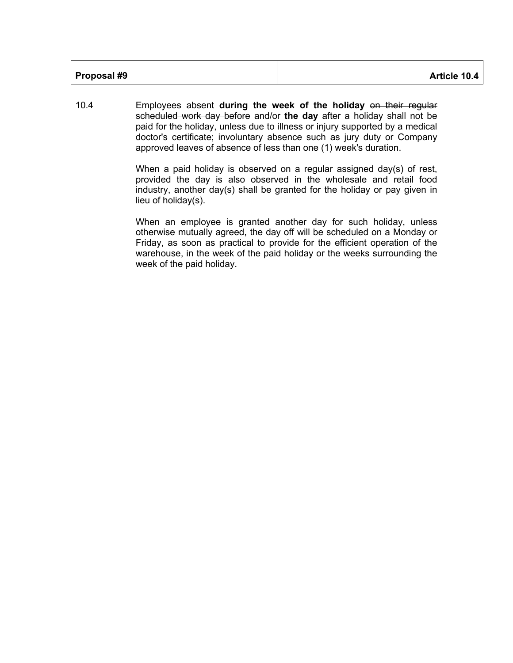10.4 Employees absent **during the week of the holiday** on their regular scheduled work day before and/or **the day** after a holiday shall not be paid for the holiday, unless due to illness or injury supported by a medical doctor's certificate; involuntary absence such as jury duty or Company approved leaves of absence of less than one (1) week's duration.

> When a paid holiday is observed on a regular assigned day(s) of rest, provided the day is also observed in the wholesale and retail food industry, another day(s) shall be granted for the holiday or pay given in lieu of holiday(s).

> When an employee is granted another day for such holiday, unless otherwise mutually agreed, the day off will be scheduled on a Monday or Friday, as soon as practical to provide for the efficient operation of the warehouse, in the week of the paid holiday or the weeks surrounding the week of the paid holiday.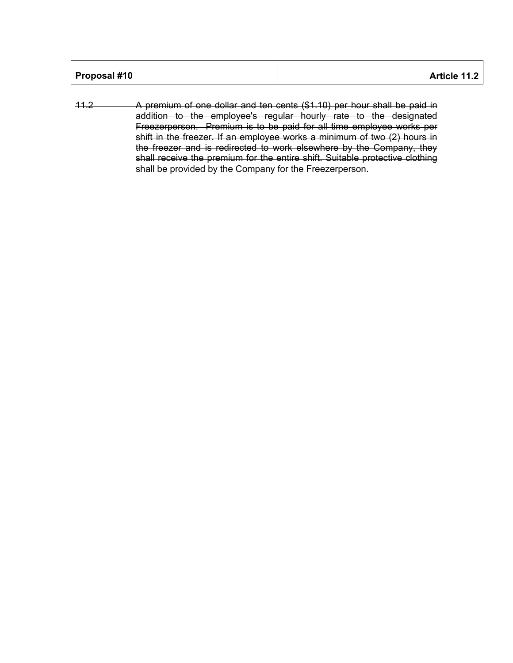| Proposal #10 | Article 11.2 |
|--------------|--------------|
|--------------|--------------|

11.2 A premium of one dollar and ten cents (\$1.10) per hour shall be paid in addition to the employee's regular hourly rate to the designated Freezerperson. Premium is to be paid for all time employee works per shift in the freezer. If an employee works a minimum of two (2) hours in the freezer and is redirected to work elsewhere by the Company, they shall receive the premium for the entire shift. Suitable protective clothing shall be provided by the Company for the Freezerperson.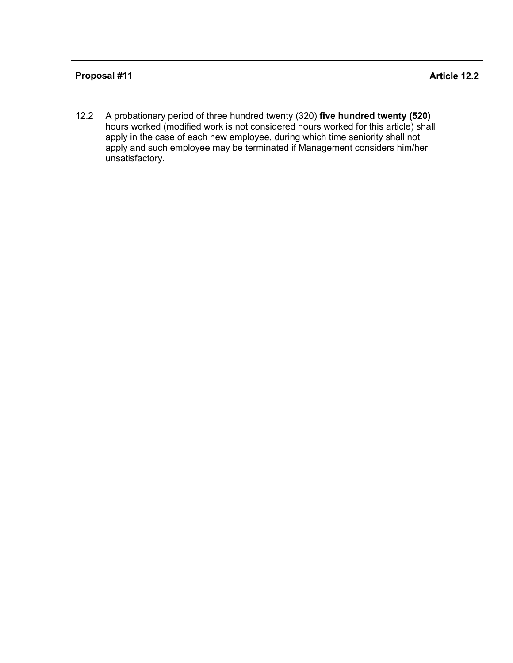12.2 A probationary period of three hundred twenty (320) **five hundred twenty (520)**  hours worked (modified work is not considered hours worked for this article) shall apply in the case of each new employee, during which time seniority shall not apply and such employee may be terminated if Management considers him/her unsatisfactory.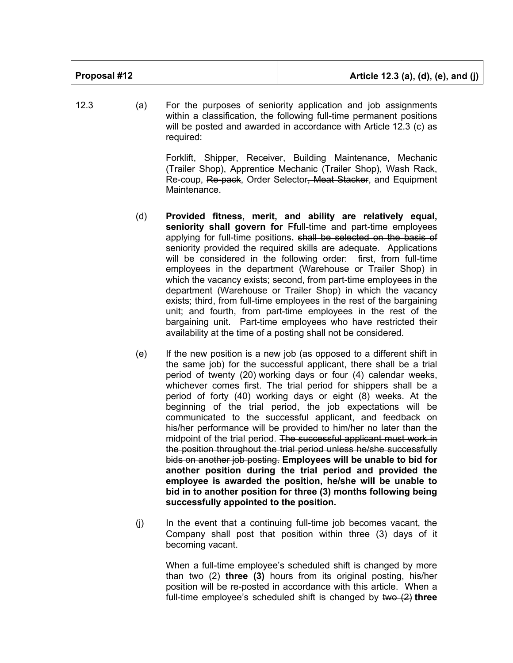| Proposal #12 | Article 12.3 (a), (d), (e), and (j) |
|--------------|-------------------------------------|
|              |                                     |

12.3 (a) For the purposes of seniority application and job assignments within a classification, the following full-time permanent positions will be posted and awarded in accordance with Article 12.3 (c) as required:

> Forklift, Shipper, Receiver, Building Maintenance, Mechanic (Trailer Shop), Apprentice Mechanic (Trailer Shop), Wash Rack, Re-coup, Re-pack, Order Selector, Meat Stacker, and Equipment Maintenance.

- (d) **Provided fitness, merit, and ability are relatively equal, seniority shall govern for** F**f**ull-time and part-time employees applying for full-time positions**.** shall be selected on the basis of seniority provided the required skills are adequate. Applications will be considered in the following order: first, from full-time employees in the department (Warehouse or Trailer Shop) in which the vacancy exists; second, from part-time employees in the department (Warehouse or Trailer Shop) in which the vacancy exists; third, from full-time employees in the rest of the bargaining unit; and fourth, from part-time employees in the rest of the bargaining unit. Part-time employees who have restricted their availability at the time of a posting shall not be considered.
- (e) If the new position is a new job (as opposed to a different shift in the same job) for the successful applicant, there shall be a trial period of twenty (20) working days or four (4) calendar weeks, whichever comes first. The trial period for shippers shall be a period of forty (40) working days or eight (8) weeks. At the beginning of the trial period, the job expectations will be communicated to the successful applicant, and feedback on his/her performance will be provided to him/her no later than the midpoint of the trial period. The successful applicant must work in the position throughout the trial period unless he/she successfully bids on another job posting. **Employees will be unable to bid for another position during the trial period and provided the employee is awarded the position, he/she will be unable to bid in to another position for three (3) months following being successfully appointed to the position.**
- (j) In the event that a continuing full-time job becomes vacant, the Company shall post that position within three (3) days of it becoming vacant.

When a full-time employee's scheduled shift is changed by more than two (2) **three (3)** hours from its original posting, his/her position will be re-posted in accordance with this article. When a full-time employee's scheduled shift is changed by two (2) **three**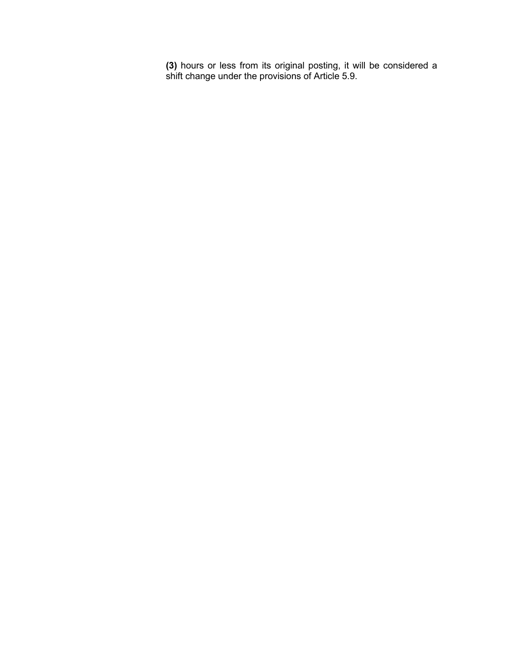**(3)** hours or less from its original posting, it will be considered a shift change under the provisions of Article 5.9.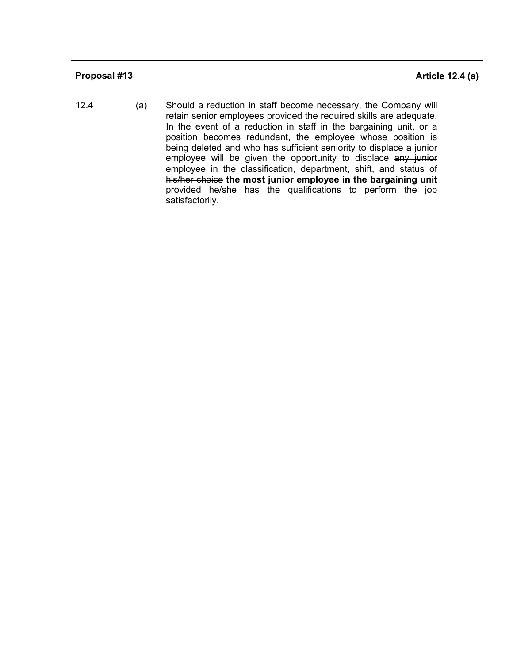| <b>Article 12.4 (a)</b> |
|-------------------------|
|                         |
|                         |

12.4 (a) Should a reduction in staff become necessary, the Company will retain senior employees provided the required skills are adequate. In the event of a reduction in staff in the bargaining unit, or a position becomes redundant, the employee whose position is being deleted and who has sufficient seniority to displace a junior employee will be given the opportunity to displace any junior employee in the classification, department, shift, and status of his/her choice **the most junior employee in the bargaining unit**  provided he/she has the qualifications to perform the job satisfactorily.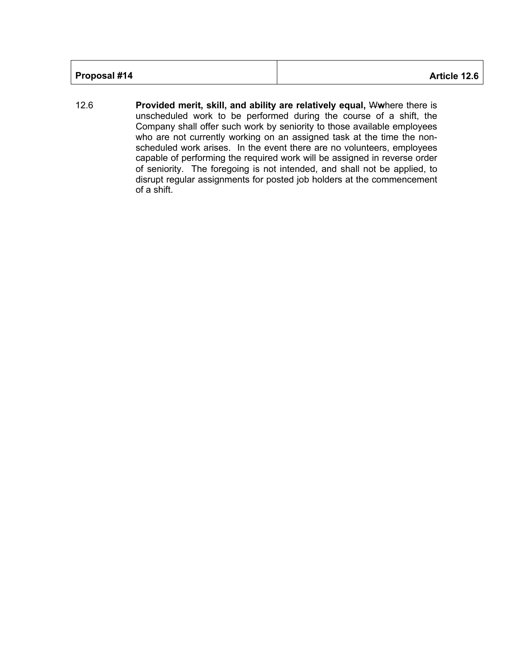| Proposal #14 | Article 12.6 |
|--------------|--------------|
|--------------|--------------|

12.6 **Provided merit, skill, and ability are relatively equal,** W**w**here there is unscheduled work to be performed during the course of a shift, the Company shall offer such work by seniority to those available employees who are not currently working on an assigned task at the time the nonscheduled work arises. In the event there are no volunteers, employees capable of performing the required work will be assigned in reverse order of seniority. The foregoing is not intended, and shall not be applied, to disrupt regular assignments for posted job holders at the commencement of a shift.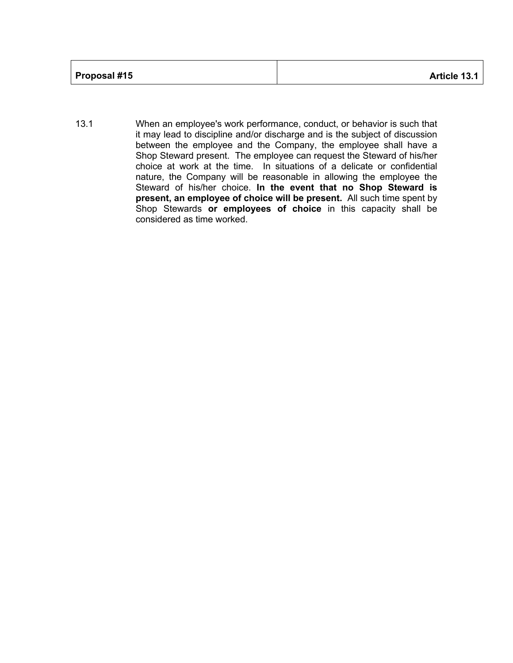| Proposal #15 | Article 13.1 |
|--------------|--------------|
|--------------|--------------|

13.1 When an employee's work performance, conduct, or behavior is such that it may lead to discipline and/or discharge and is the subject of discussion between the employee and the Company, the employee shall have a Shop Steward present. The employee can request the Steward of his/her choice at work at the time. In situations of a delicate or confidential nature, the Company will be reasonable in allowing the employee the Steward of his/her choice. **In the event that no Shop Steward is present, an employee of choice will be present.** All such time spent by Shop Stewards **or employees of choice** in this capacity shall be considered as time worked.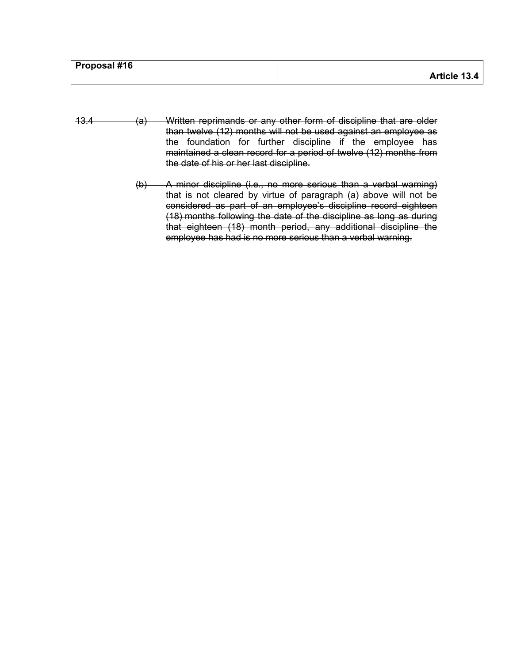| <b>Proposal #16</b> |              |
|---------------------|--------------|
|                     | Article 13.4 |

- 13.4 (a) Written reprimands or any other form of discipline that are older than twelve (12) months will not be used against an employee as the foundation for further discipline if the employee has maintained a clean record for a period of twelve (12) months from the date of his or her last discipline.
	- (b) A minor discipline (i.e., no more serious than a verbal warning) that is not cleared by virtue of paragraph (a) above will not be considered as part of an employee's discipline record eighteen (18) months following the date of the discipline as long as during that eighteen (18) month period, any additional discipline the employee has had is no more serious than a verbal warning.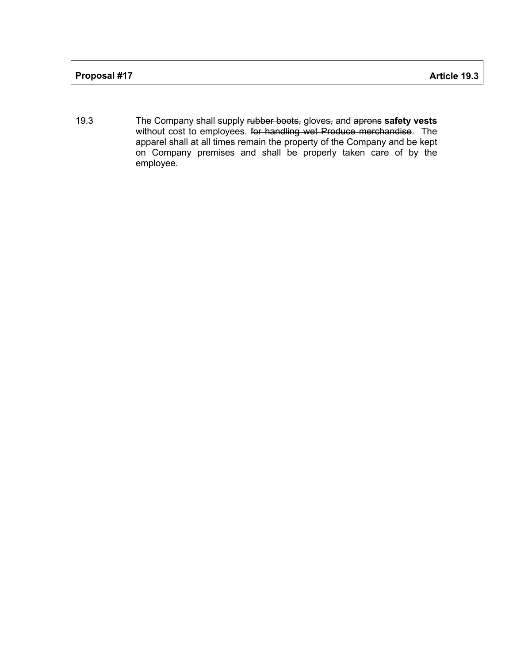| Proposal #17<br>Article 19.3 |
|------------------------------|
|------------------------------|

19.3 The Company shall supply rubber boots, gloves, and aprons **safety vests**  without cost to employees. for handling wet Produce merchandise. The apparel shall at all times remain the property of the Company and be kept on Company premises and shall be properly taken care of by the employee.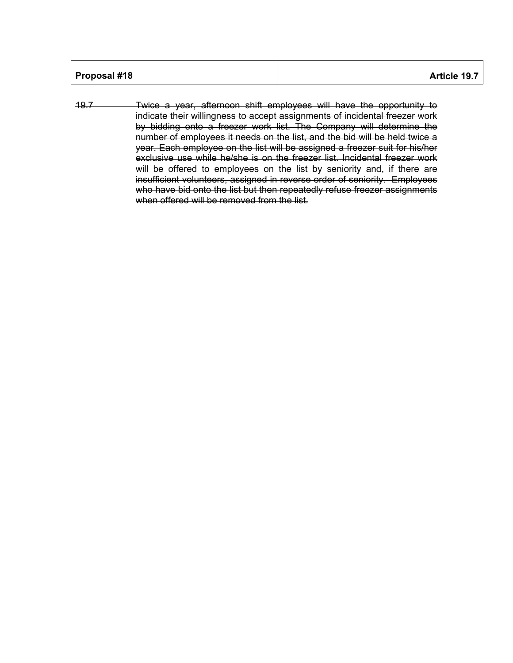| Proposal #18<br>Article 19.7 |
|------------------------------|
|------------------------------|

19.7 Twice a year, afternoon shift employees will have the opportunity to indicate their willingness to accept assignments of incidental freezer work by bidding onto a freezer work list. The Company will determine the number of employees it needs on the list, and the bid will be held twice a year. Each employee on the list will be assigned a freezer suit for his/her exclusive use while he/she is on the freezer list. Incidental freezer work will be offered to employees on the list by seniority and, if there are insufficient volunteers, assigned in reverse order of seniority. Employees who have bid onto the list but then repeatedly refuse freezer assignments when offered will be removed from the list.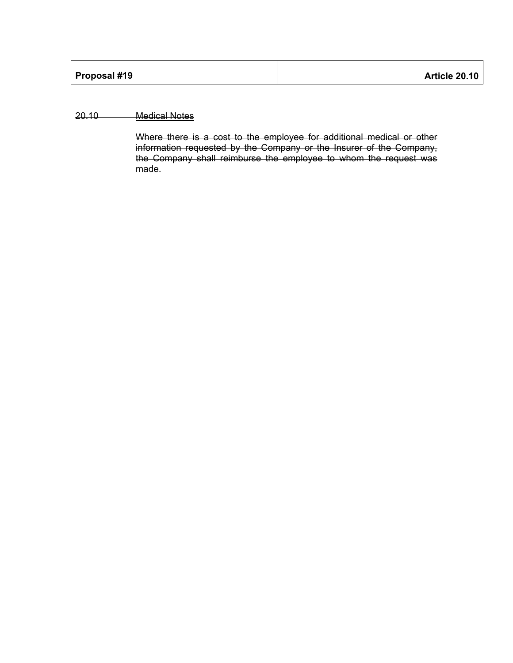## 20.10 Medical Notes

Where there is a cost to the employee for additional medical or other information requested by the Company or the Insurer of the Company, the Company shall reimburse the employee to whom the request was made.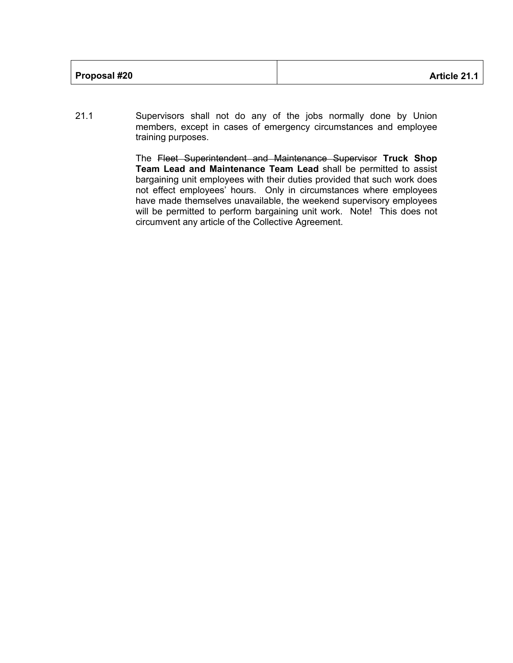| <b>Proposal #20</b> | <b>Article 21.1</b> |
|---------------------|---------------------|
|---------------------|---------------------|

21.1 Supervisors shall not do any of the jobs normally done by Union members, except in cases of emergency circumstances and employee training purposes.

> The Fleet Superintendent and Maintenance Supervisor **Truck Shop Team Lead and Maintenance Team Lead** shall be permitted to assist bargaining unit employees with their duties provided that such work does not effect employees' hours. Only in circumstances where employees have made themselves unavailable, the weekend supervisory employees will be permitted to perform bargaining unit work. Note! This does not circumvent any article of the Collective Agreement.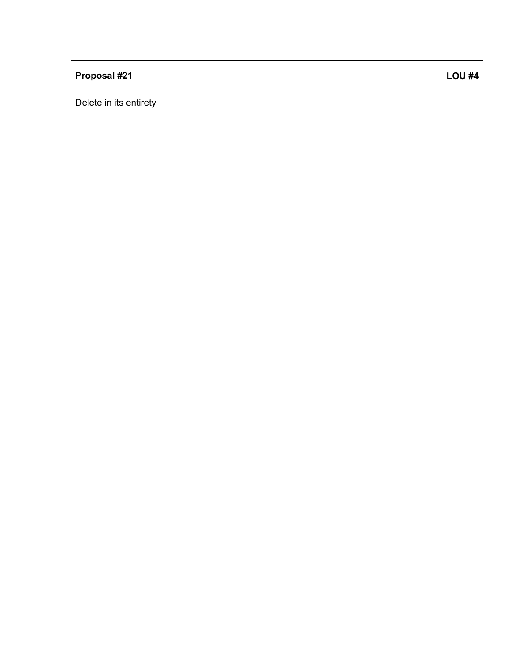| Proposal #21 | <b>LOU #4</b> |
|--------------|---------------|

Delete in its entirety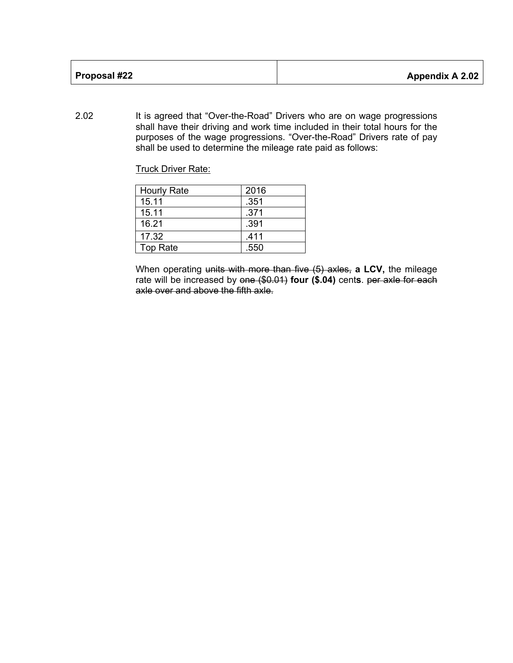| Proposal #22 | <b>Appendix A 2.02</b> |
|--------------|------------------------|
|              |                        |

2.02 It is agreed that "Over-the-Road" Drivers who are on wage progressions shall have their driving and work time included in their total hours for the purposes of the wage progressions. "Over-the-Road" Drivers rate of pay shall be used to determine the mileage rate paid as follows:

Truck Driver Rate:

| <b>Hourly Rate</b> | 2016 |
|--------------------|------|
| 15.11              | .351 |
| 15.11              | .371 |
| 16.21              | .391 |
| 17.32              | .411 |
| <b>Top Rate</b>    | .550 |

When operating units with more than five (5) axles, **a LCV,** the mileage rate will be increased by one (\$0.01) **four (\$.04)** cent**s**. per axle for each axle over and above the fifth axle.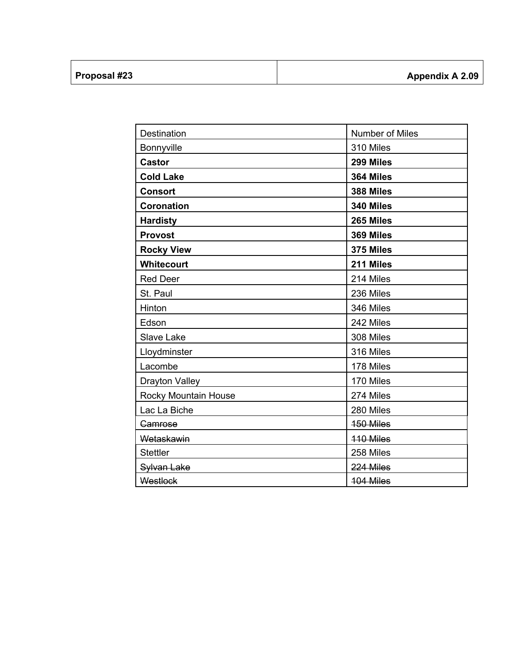| Proposal #23 |  |
|--------------|--|
|              |  |

| Destination           | Number of Miles |
|-----------------------|-----------------|
| Bonnyville            | 310 Miles       |
| <b>Castor</b>         | 299 Miles       |
| <b>Cold Lake</b>      | 364 Miles       |
| <b>Consort</b>        | 388 Miles       |
| <b>Coronation</b>     | 340 Miles       |
| <b>Hardisty</b>       | 265 Miles       |
| <b>Provost</b>        | 369 Miles       |
| <b>Rocky View</b>     | 375 Miles       |
| Whitecourt            | 211 Miles       |
| <b>Red Deer</b>       | 214 Miles       |
| St. Paul              | 236 Miles       |
| Hinton                | 346 Miles       |
| Edson                 | 242 Miles       |
| <b>Slave Lake</b>     | 308 Miles       |
| Lloydminster          | 316 Miles       |
| Lacombe               | 178 Miles       |
| <b>Drayton Valley</b> | 170 Miles       |
| Rocky Mountain House  | 274 Miles       |
| Lac La Biche          | 280 Miles       |
| Gamrose               | 150 Miles       |
| Wetaskawin            | 110 Miles       |
| <b>Stettler</b>       | 258 Miles       |
| Sylvan Lake           | 224 Miles       |
| Westlock              | 104 Miles       |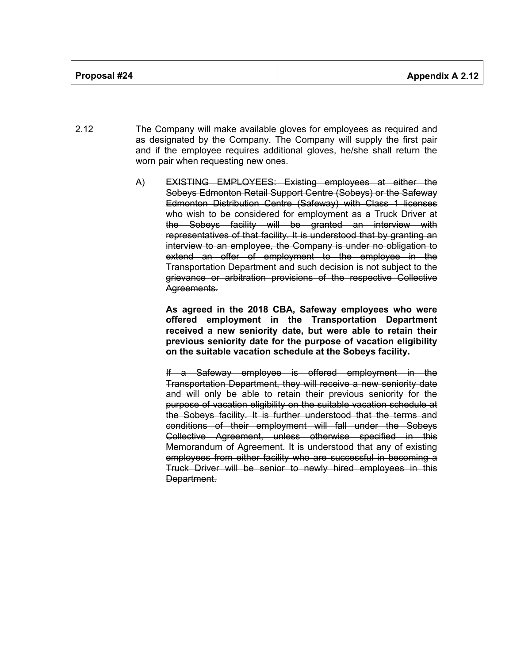- 2.12 The Company will make available gloves for employees as required and as designated by the Company. The Company will supply the first pair and if the employee requires additional gloves, he/she shall return the worn pair when requesting new ones.
	- A) EXISTING EMPLOYEES: Existing employees at either the Sobeys Edmonton Retail Support Centre (Sobeys) or the Safeway Edmonton Distribution Centre (Safeway) with Class 1 licenses who wish to be considered for employment as a Truck Driver at the Sobeys facility will be granted an interview with representatives of that facility. It is understood that by granting an interview to an employee, the Company is under no obligation to extend an offer of employment to the employee in the Transportation Department and such decision is not subject to the grievance or arbitration provisions of the respective Collective Agreements.

**As agreed in the 2018 CBA, Safeway employees who were offered employment in the Transportation Department received a new seniority date, but were able to retain their previous seniority date for the purpose of vacation eligibility on the suitable vacation schedule at the Sobeys facility.** 

If a Safeway employee is offered employment in the Transportation Department, they will receive a new seniority date and will only be able to retain their previous seniority for the purpose of vacation eligibility on the suitable vacation schedule at the Sobeys facility. It is further understood that the terms and conditions of their employment will fall under the Sobeys Collective Agreement, unless otherwise specified in this Memorandum of Agreement. It is understood that any of existing employees from either facility who are successful in becoming a Truck Driver will be senior to newly hired employees in this Department.